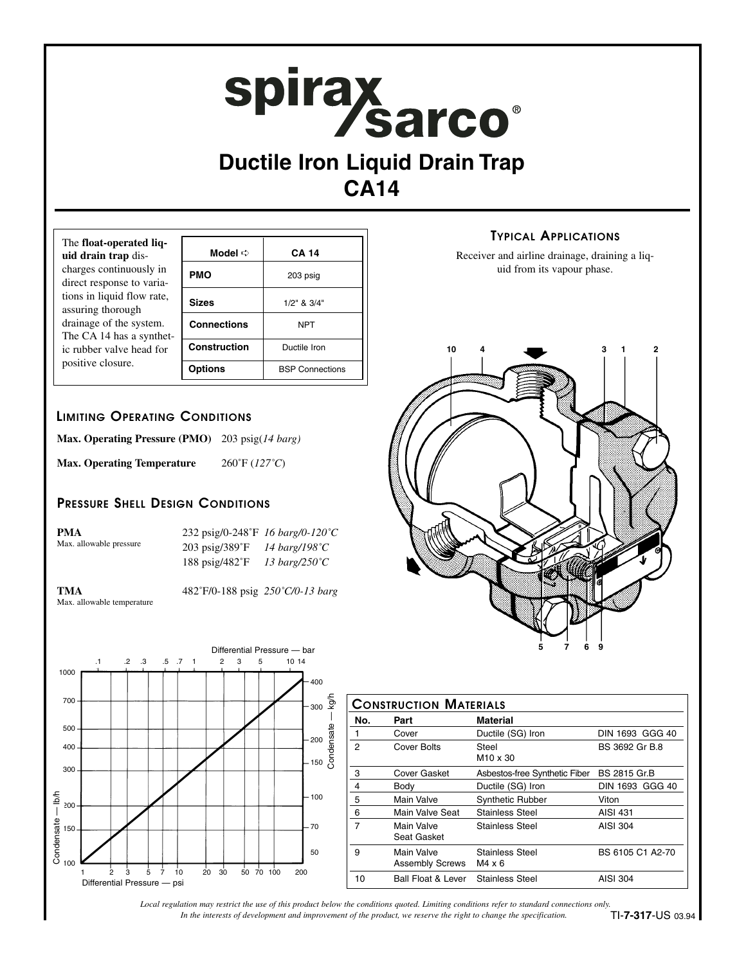# spirax<br>Sarco®

# **Ductile Iron Liquid Drain Trap CA14**

| The float-operated liq-<br>uid drain trap dis-                                                                                     |                    | <b>CA 14</b>           |
|------------------------------------------------------------------------------------------------------------------------------------|--------------------|------------------------|
| charges continuously in<br>direct response to varia-                                                                               | <b>PMO</b>         | 203 psig               |
| tions in liquid flow rate,<br>assuring thorough<br>drainage of the system.<br>The CA 14 has a synthet-<br>ic rubber valve head for | <b>Sizes</b>       | $1/2$ " & $3/4$ "      |
|                                                                                                                                    | <b>Connections</b> | <b>NPT</b>             |
|                                                                                                                                    | Construction       | Ductile Iron           |
| positive closure.                                                                                                                  | <b>Options</b>     | <b>BSP Connections</b> |

## **LIMITING OPERATING CONDITIONS**

| <b>Max. Operating Pressure (PMO)</b> | 203 psig(14 barg)                  |
|--------------------------------------|------------------------------------|
| <b>Max. Operating Temperature</b>    | $260^{\circ}$ F (127 $^{\circ}$ C) |

### **PRESSURE SHELL DESIGN CONDITIONS**

| <b>PMA</b>              | 232 psig/0-248°F 16 barg/0-120°C |                         |
|-------------------------|----------------------------------|-------------------------|
| Max. allowable pressure | $203 \text{ psig}/389$ °F        | 14 barg/198 $\degree$ C |
|                         | 188 psig/482°F                   | 13 barg/250 $\degree$ C |

Max. allowable temperature

**TMA** 482˚F/0-188 psig *250˚C/0-13 barg*



| <b>CONSTRUCTION MATERIALS</b> |                                      |                                         |                     |  |  |
|-------------------------------|--------------------------------------|-----------------------------------------|---------------------|--|--|
| No.                           | Part                                 | Material                                |                     |  |  |
| 1                             | Cover                                | Ductile (SG) Iron                       | DIN 1693 GGG 40     |  |  |
| $\overline{2}$                | Cover Bolts                          | Steel<br>M <sub>10</sub> x 30           | BS 3692 Gr B.8      |  |  |
| 3                             | Cover Gasket                         | Asbestos-free Synthetic Fiber           | <b>BS 2815 Gr.B</b> |  |  |
| 4                             | Body                                 | Ductile (SG) Iron                       | DIN 1693 GGG 40     |  |  |
| 5                             | Main Valve                           | <b>Synthetic Rubber</b>                 | Viton               |  |  |
| 6                             | Main Valve Seat                      | <b>Stainless Steel</b>                  | AISI 431            |  |  |
| 7                             | Main Valve<br>Seat Gasket            | Stainless Steel                         | AISI 304            |  |  |
| 9                             | Main Valve<br><b>Assembly Screws</b> | <b>Stainless Steel</b><br>$M4 \times 6$ | BS 6105 C1 A2-70    |  |  |
| 10                            | <b>Ball Float &amp; Lever</b>        | <b>Stainless Steel</b>                  | AISI 304            |  |  |

## **TYPICAL APPLICATIONS**

Receiver and airline drainage, draining a liquid from its vapour phase.



*In the interests of development and improvement of the product, we reserve the right to change the specification. Local regulation may restrict the use of this product below the conditions quoted. Limiting conditions refer to standard connections only.*

TI-**7-317**-US 03.94